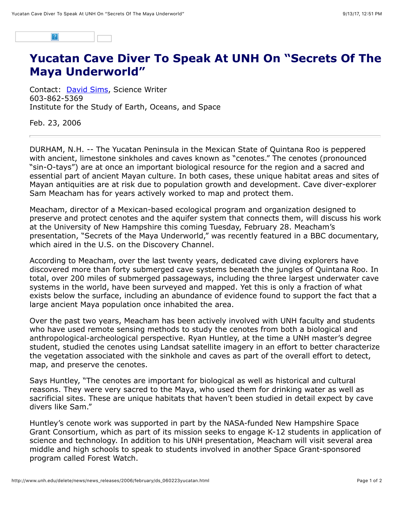

## **Yucatan Cave Diver To Speak At UNH On "Secrets Of The Maya Underworld"**

Contact: [David Sims](mailto:david.sims@unh.edu), Science Writer 603-862-5369 Institute for the Study of Earth, Oceans, and Space

Feb. 23, 2006

DURHAM, N.H. -- The Yucatan Peninsula in the Mexican State of Quintana Roo is peppered with ancient, limestone sinkholes and caves known as "cenotes." The cenotes (pronounced "sin-O-tays") are at once an important biological resource for the region and a sacred and essential part of ancient Mayan culture. In both cases, these unique habitat areas and sites of Mayan antiquities are at risk due to population growth and development. Cave diver-explorer Sam Meacham has for years actively worked to map and protect them.

Meacham, director of a Mexican-based ecological program and organization designed to preserve and protect cenotes and the aquifer system that connects them, will discuss his work at the University of New Hampshire this coming Tuesday, February 28. Meacham's presentation, "Secrets of the Maya Underworld," was recently featured in a BBC documentary, which aired in the U.S. on the Discovery Channel.

According to Meacham, over the last twenty years, dedicated cave diving explorers have discovered more than forty submerged cave systems beneath the jungles of Quintana Roo. In total, over 200 miles of submerged passageways, including the three largest underwater cave systems in the world, have been surveyed and mapped. Yet this is only a fraction of what exists below the surface, including an abundance of evidence found to support the fact that a large ancient Maya population once inhabited the area.

Over the past two years, Meacham has been actively involved with UNH faculty and students who have used remote sensing methods to study the cenotes from both a biological and anthropological-archeological perspective. Ryan Huntley, at the time a UNH master's degree student, studied the cenotes using Landsat satellite imagery in an effort to better characterize the vegetation associated with the sinkhole and caves as part of the overall effort to detect, map, and preserve the cenotes.

Says Huntley, "The cenotes are important for biological as well as historical and cultural reasons. They were very sacred to the Maya, who used them for drinking water as well as sacrificial sites. These are unique habitats that haven't been studied in detail expect by cave divers like Sam."

Huntley's cenote work was supported in part by the NASA-funded New Hampshire Space Grant Consortium, which as part of its mission seeks to engage K-12 students in application of science and technology. In addition to his UNH presentation, Meacham will visit several area middle and high schools to speak to students involved in another Space Grant-sponsored program called Forest Watch.